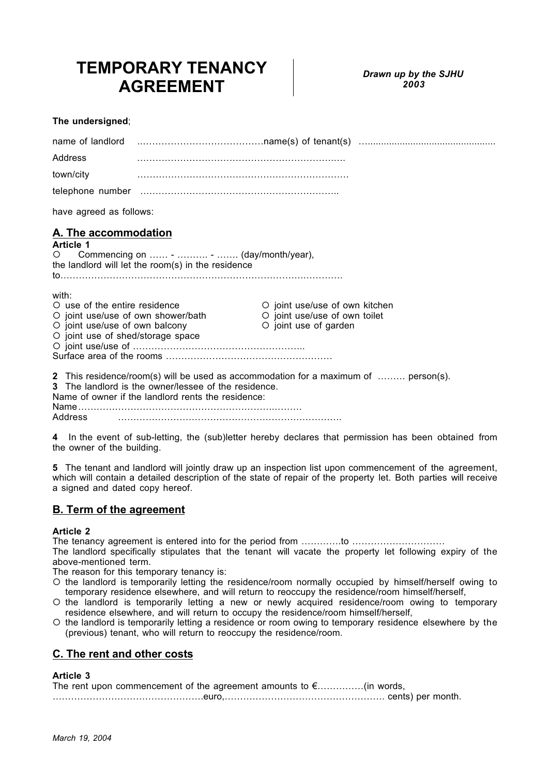# **TEMPORARY TENANCY AGREEMENT**

## **The undersigned**;

| Address                                                                                                                                             |                                                                                                                                                                                                   |                                                                                          |  |
|-----------------------------------------------------------------------------------------------------------------------------------------------------|---------------------------------------------------------------------------------------------------------------------------------------------------------------------------------------------------|------------------------------------------------------------------------------------------|--|
| town/city                                                                                                                                           |                                                                                                                                                                                                   |                                                                                          |  |
|                                                                                                                                                     |                                                                                                                                                                                                   |                                                                                          |  |
| have agreed as follows:                                                                                                                             |                                                                                                                                                                                                   |                                                                                          |  |
| A. The accommodation<br><b>Article 1</b><br>$\circ$                                                                                                 | Commencing on  -  -  (day/month/year),<br>the landlord will let the room(s) in the residence                                                                                                      |                                                                                          |  |
| with:<br>O use of the entire residence<br>O joint use/use of own shower/bath<br>O joint use/use of own balcony<br>O joint use of shed/storage space |                                                                                                                                                                                                   | O joint use/use of own kitchen<br>O joint use/use of own toilet<br>O joint use of garden |  |
| Address                                                                                                                                             | 2 This residence/room(s) will be used as accommodation for a maximum of  person(s).<br>3 The landlord is the owner/lessee of the residence.<br>Name of owner if the landlord rents the residence: |                                                                                          |  |

**4** In the event of sub-letting, the (sub)letter hereby declares that permission has been obtained from the owner of the building.

**5** The tenant and landlord will jointly draw up an inspection list upon commencement of the agreement, which will contain a detailed description of the state of repair of the property let. Both parties will receive a signed and dated copy hereof.

# **B. Term of the agreement**

## **Article 2**

The tenancy agreement is entered into for the period from ………….to ……………………………

The landlord specifically stipulates that the tenant will vacate the property let following expiry of the above-mentioned term.

The reason for this temporary tenancy is:

- the landlord is temporarily letting the residence/room normally occupied by himself/herself owing to temporary residence elsewhere, and will return to reoccupy the residence/room himself/herself,
- the landlord is temporarily letting a new or newly acquired residence/room owing to temporary residence elsewhere, and will return to occupy the residence/room himself/herself,
- the landlord is temporarily letting a residence or room owing to temporary residence elsewhere by the (previous) tenant, who will return to reoccupy the residence/room.

# **C. The rent and other costs**

# **Article 3**

| The rent upon commencement of the agreement amounts to $\epsilon$ (in words, |  |
|------------------------------------------------------------------------------|--|
|                                                                              |  |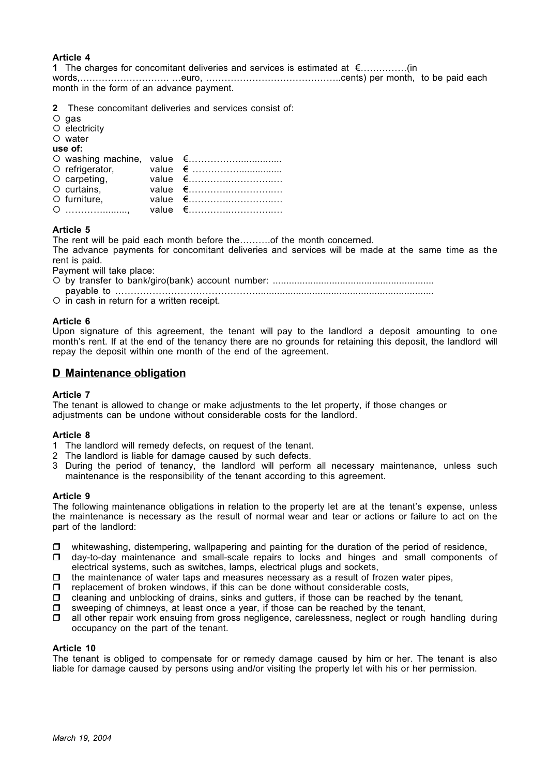# **Article 4**

**1** The charges for concomitant deliveries and services is estimated at €……………(in

words,……………………….. …euro, ……………………………………..cents) per month, to be paid each month in the form of an advance payment.

- **2** These concomitant deliveries and services consist of:
- $O$  gas
- $O$  electricity

O water **use of:**

| use vi.      |  |
|--------------|--|
|              |  |
|              |  |
|              |  |
| O curtains,  |  |
| O furniture, |  |
|              |  |

# **Article 5**

The rent will be paid each month before the……….of the month concerned.

The advance payments for concomitant deliveries and services will be made at the same time as the rent is paid.

Payment will take place:

by transfer to bank/giro(bank) account number: ............................................................

payable to ………………………………………..................................................................

 $\circ$  in cash in return for a written receipt.

#### **Article 6**

Upon signature of this agreement, the tenant will pay to the landlord a deposit amounting to one month's rent. If at the end of the tenancy there are no grounds for retaining this deposit, the landlord will repay the deposit within one month of the end of the agreement.

# **D Maintenance obligation**

#### **Article 7**

The tenant is allowed to change or make adjustments to the let property, if those changes or adjustments can be undone without considerable costs for the landlord.

#### **Article 8**

- 1 The landlord will remedy defects, on request of the tenant.
- 2 The landlord is liable for damage caused by such defects.
- 3 During the period of tenancy, the landlord will perform all necessary maintenance, unless such maintenance is the responsibility of the tenant according to this agreement.

#### **Article 9**

The following maintenance obligations in relation to the property let are at the tenant's expense, unless the maintenance is necessary as the result of normal wear and tear or actions or failure to act on the part of the landlord:

- □ whitewashing, distempering, wallpapering and painting for the duration of the period of residence,
- day-to-day maintenance and small-scale repairs to locks and hinges and small components of electrical systems, such as switches, lamps, electrical plugs and sockets,
- $\Box$ the maintenance of water taps and measures necessary as a result of frozen water pipes,
- $\Box$ replacement of broken windows, if this can be done without considerable costs,
- $\Box$ cleaning and unblocking of drains, sinks and gutters, if those can be reached by the tenant,
- $\Box$ sweeping of chimneys, at least once a year, if those can be reached by the tenant,
- $\Box$  all other repair work ensuing from gross negligence, carelessness, neglect or rough handling during occupancy on the part of the tenant.

#### **Article 10**

The tenant is obliged to compensate for or remedy damage caused by him or her. The tenant is also liable for damage caused by persons using and/or visiting the property let with his or her permission.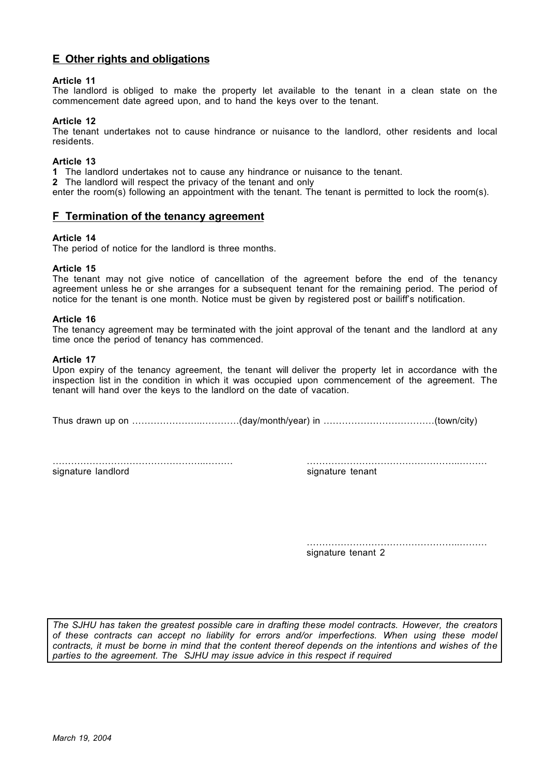# **E Other rights and obligations**

# **Article 11**

The landlord is obliged to make the property let available to the tenant in a clean state on the commencement date agreed upon, and to hand the keys over to the tenant.

## **Article 12**

The tenant undertakes not to cause hindrance or nuisance to the landlord, other residents and local residents.

#### **Article 13**

**1** The landlord undertakes not to cause any hindrance or nuisance to the tenant.

**2** The landlord will respect the privacy of the tenant and only

enter the room(s) following an appointment with the tenant. The tenant is permitted to lock the room(s).

# **F Termination of the tenancy agreement**

#### **Article 14**

The period of notice for the landlord is three months.

#### **Article 15**

The tenant may not give notice of cancellation of the agreement before the end of the tenancy agreement unless he or she arranges for a subsequent tenant for the remaining period. The period of notice for the tenant is one month. Notice must be given by registered post or bailiff's notification.

#### **Article 16**

The tenancy agreement may be terminated with the joint approval of the tenant and the landlord at any time once the period of tenancy has commenced.

#### **Article 17**

Upon expiry of the tenancy agreement, the tenant will deliver the property let in accordance with the inspection list in the condition in which it was occupied upon commencement of the agreement. The tenant will hand over the keys to the landlord on the date of vacation.

Thus drawn up on …………………..…………(day/month/year) in ………………………………(town/city)

…………………………………………..……… …………………………………………..……… signature landlord states and signature tenant

…………………………………………………………………………… signature tenant 2

*The SJHU has taken the greatest possible care in drafting these model contracts. However, the creators of these contracts can accept no liability for errors and/or imperfections. When using these model contracts, it must be borne in mind that the content thereof depends on the intentions and wishes of the parties to the agreement. The SJHU may issue advice in this respect if required*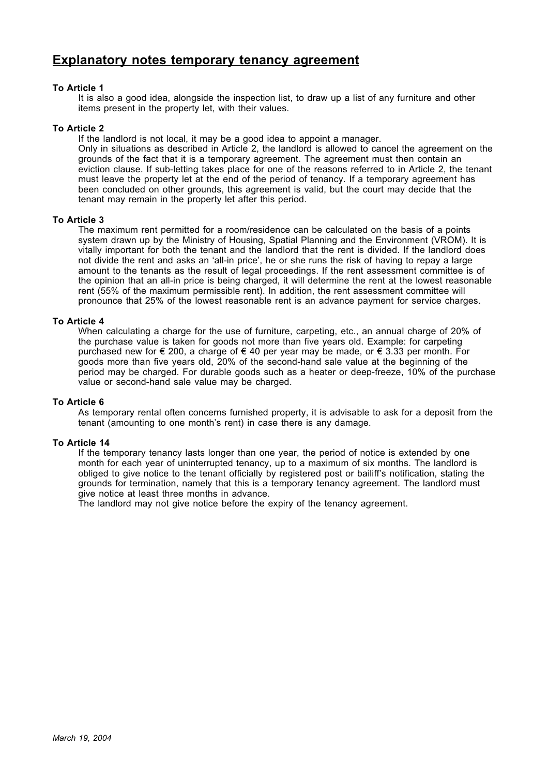# **Explanatory notes temporary tenancy agreement**

## **To Article 1**

It is also a good idea, alongside the inspection list, to draw up a list of any furniture and other items present in the property let, with their values.

#### **To Article 2**

If the landlord is not local, it may be a good idea to appoint a manager.

Only in situations as described in Article 2, the landlord is allowed to cancel the agreement on the grounds of the fact that it is a temporary agreement. The agreement must then contain an eviction clause. If sub-letting takes place for one of the reasons referred to in Article 2, the tenant must leave the property let at the end of the period of tenancy. If a temporary agreement has been concluded on other grounds, this agreement is valid, but the court may decide that the tenant may remain in the property let after this period.

## **To Article 3**

The maximum rent permitted for a room/residence can be calculated on the basis of a points system drawn up by the Ministry of Housing, Spatial Planning and the Environment (VROM). It is vitally important for both the tenant and the landlord that the rent is divided. If the landlord does not divide the rent and asks an 'all-in price', he or she runs the risk of having to repay a large amount to the tenants as the result of legal proceedings. If the rent assessment committee is of the opinion that an all-in price is being charged, it will determine the rent at the lowest reasonable rent (55% of the maximum permissible rent). In addition, the rent assessment committee will pronounce that 25% of the lowest reasonable rent is an advance payment for service charges.

## **To Article 4**

When calculating a charge for the use of furniture, carpeting, etc., an annual charge of 20% of the purchase value is taken for goods not more than five years old. Example: for carpeting purchased new for € 200, a charge of € 40 per year may be made, or € 3.33 per month. For goods more than five years old, 20% of the second-hand sale value at the beginning of the period may be charged. For durable goods such as a heater or deep-freeze, 10% of the purchase value or second-hand sale value may be charged.

#### **To Article 6**

As temporary rental often concerns furnished property, it is advisable to ask for a deposit from the tenant (amounting to one month's rent) in case there is any damage.

#### **To Article 14**

If the temporary tenancy lasts longer than one year, the period of notice is extended by one month for each year of uninterrupted tenancy, up to a maximum of six months. The landlord is obliged to give notice to the tenant officially by registered post or bailiff's notification, stating the grounds for termination, namely that this is a temporary tenancy agreement. The landlord must give notice at least three months in advance.

The landlord may not give notice before the expiry of the tenancy agreement.